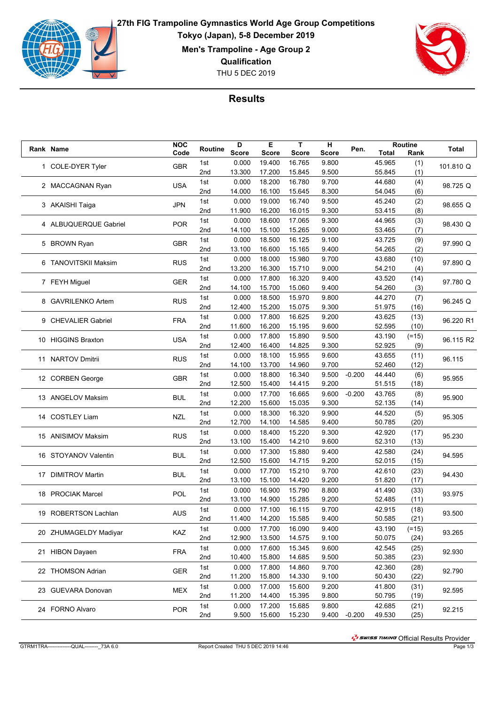

**27th FIG Trampoline Gymnastics World Age Group Competitions Tokyo (Japan), 5-8 December 2019**

**Men's Trampoline - Age Group 2**

**Qualification**

THU 5 DEC 2019



## **Results**

|  | Rank Name             | <b>NOC</b> | Routine | D            | E            | T            | н     | Pen.         |                  | <b>Routine</b> | <b>Total</b> |
|--|-----------------------|------------|---------|--------------|--------------|--------------|-------|--------------|------------------|----------------|--------------|
|  |                       | Code       |         | <b>Score</b> | <b>Score</b> | <b>Score</b> | Score |              | <b>Total</b>     | Rank           |              |
|  | 1 COLE-DYER Tyler     | <b>GBR</b> | 1st     | 0.000        | 19.400       | 16.765       | 9.800 |              | 45.965           | (1)            | 101.810 Q    |
|  |                       |            | 2nd     | 13.300       | 17.200       | 15.845       | 9.500 |              | 55.845           | (1)            |              |
|  | 2 MACCAGNAN Ryan      | <b>USA</b> | 1st     | 0.000        | 18.200       | 16.780       | 9.700 |              | 44.680           | (4)            | 98.725 Q     |
|  |                       |            | 2nd     | 14.000       | 16.100       | 15.645       | 8.300 |              | 54.045           | (6)            |              |
|  | 3 AKAISHI Taiga       | JPN        | 1st     | 0.000        | 19.000       | 16.740       | 9.500 |              | 45.240           | (2)            | 98.655 Q     |
|  |                       |            | 2nd     | 11.900       | 16.200       | 16.015       | 9.300 |              | 53.415           | (8)            |              |
|  | 4 ALBUQUERQUE Gabriel | <b>POR</b> | 1st     | 0.000        | 18.600       | 17.065       | 9.300 |              | 44.965           | (3)            | 98.430 Q     |
|  |                       |            | 2nd     | 14.100       | 15.100       | 15.265       | 9.000 |              | 53.465           | (7)            |              |
|  | 5 BROWN Ryan          | <b>GBR</b> | 1st     | 0.000        | 18.500       | 16.125       | 9.100 |              | 43.725           | (9)            | 97.990 Q     |
|  |                       |            | 2nd     | 13.100       | 16.600       | 15.165       | 9.400 |              | 54.265           | (2)            |              |
|  | 6 TANOVITSKII Maksim  |            | 1st     | 0.000        | 18.000       | 15.980       | 9.700 |              | 43.680           | (10)           | 97.890 Q     |
|  |                       | <b>RUS</b> | 2nd     | 13.200       | 16.300       | 15.710       | 9.000 |              | 54.210           | (4)            |              |
|  |                       |            | 1st     | 0.000        | 17.800       | 16.320       | 9.400 |              | 43.520           | (14)           |              |
|  | 7 FEYH Miguel         | GER        | 2nd     | 14.100       | 15.700       | 15.060       | 9.400 |              | 54.260           | (3)            | 97.780 Q     |
|  |                       |            | 1st     | 0.000        | 18.500       | 15.970       | 9.800 |              | 44.270           | (7)            |              |
|  | 8 GAVRILENKO Artem    | <b>RUS</b> | 2nd     | 12.400       | 15.200       | 15.075       | 9.300 |              | 51.975           | (16)           | 96.245 Q     |
|  |                       |            | 1st     | 0.000        | 17.800       | 16.625       | 9.200 |              | 43.625           | (13)           |              |
|  | 9 CHEVALIER Gabriel   | <b>FRA</b> | 2nd     | 11.600       | 16.200       | 15.195       | 9.600 |              | 52.595           | (10)           | 96.220 R1    |
|  |                       |            |         |              |              | 15.890       |       |              |                  |                |              |
|  | 10 HIGGINS Braxton    | <b>USA</b> | 1st     | 0.000        | 17.800       | 14.825       | 9.500 |              | 43.190<br>52.925 | $(=15)$        | 96.115 R2    |
|  |                       |            | 2nd     | 12.400       | 16.400       |              | 9.300 |              |                  | (9)            |              |
|  | 11 NARTOV Dmitrii     | <b>RUS</b> | 1st     | 0.000        | 18.100       | 15.955       | 9.600 |              | 43.655           | (11)           | 96.115       |
|  |                       |            | 2nd     | 14.100       | 13.700       | 14.960       | 9.700 |              | 52.460           | (12)           |              |
|  | 12 CORBEN George      | <b>GBR</b> | 1st     | 0.000        | 18.800       | 16.340       | 9.500 | $-0.200$     | 44.440           | (6)            | 95.955       |
|  |                       |            | 2nd     | 12.500       | 15.400       | 14.415       | 9.200 |              | 51.515           | (18)           |              |
|  | 13 ANGELOV Maksim     | <b>BUL</b> | 1st     | 0.000        | 17.700       | 16.665       | 9.600 | $-0.200$     | 43.765           | (8)            | 95.900       |
|  |                       |            | 2nd     | 12.200       | 15.600       | 15.035       | 9.300 |              | 52.135           | (14)           |              |
|  | 14 COSTLEY Liam       | <b>NZL</b> | 1st     | 0.000        | 18.300       | 16.320       | 9.900 |              | 44.520           | (5)            | 95.305       |
|  |                       |            | 2nd     | 12.700       | 14.100       | 14.585       | 9.400 |              | 50.785           | (20)           |              |
|  | 15 ANISIMOV Maksim    | <b>RUS</b> | 1st     | 0.000        | 18.400       | 15.220       | 9.300 |              | 42.920           | (17)           | 95.230       |
|  |                       |            | 2nd     | 13.100       | 15.400       | 14.210       | 9.600 |              | 52.310           | (13)           |              |
|  |                       |            | 1st     | 0.000        | 17.300       | 15.880       | 9.400 |              | 42.580           | (24)           |              |
|  | 16 STOYANOV Valentin  | <b>BUL</b> | 2nd     | 12.500       | 15.600       | 14.715       | 9.200 |              | 52.015           | (15)           | 94.595       |
|  |                       |            | 1st     | 0.000        | 17.700       | 15.210       | 9.700 |              | 42.610           | (23)           |              |
|  | 17 DIMITROV Martin    | <b>BUL</b> | 2nd     | 13.100       | 15.100       | 14.420       | 9.200 |              | 51.820           | (17)           | 94.430       |
|  |                       |            | 1st     | 0.000        | 16.900       | 15.790       | 8.800 |              | 41.490           | (33)           |              |
|  | 18 PROCIAK Marcel     | POL        | 2nd     | 13.100       | 14.900       | 15.285       | 9.200 |              | 52.485           | (11)           | 93.975       |
|  |                       |            | 1st     | 0.000        | 17.100       | 16.115       | 9.700 |              | 42.915           | (18)           |              |
|  | 19 ROBERTSON Lachlan  | <b>AUS</b> | 2nd     | 11.400       | 14.200       | 15.585       | 9.400 |              | 50.585           | (21)           | 93.500       |
|  |                       |            | 1st     | 0.000        | 17.700       | 16.090       | 9.400 |              | 43.190           |                |              |
|  | 20 ZHUMAGELDY Madiyar | KAZ        |         |              |              |              |       |              |                  | $(=15)$        | 93.265       |
|  |                       |            | 2nd     | 12.900       | 13.500       | 14.575       | 9.100 |              | 50.075           | (24)           |              |
|  | 21 HIBON Dayaen       | <b>FRA</b> | 1st     | 0.000        | 17.600       | 15.345       | 9.600 |              | 42.545           | (25)           | 92.930       |
|  |                       |            | 2nd     | 10.400       | 15.800       | 14.685       | 9.500 |              | 50.385           | (23)           |              |
|  | 22 THOMSON Adrian     | <b>GER</b> | 1st     | 0.000        | 17.800       | 14.860       | 9.700 |              | 42.360           | (28)           | 92.790       |
|  |                       |            | 2nd     | 11.200       | 15.800       | 14.330       | 9.100 |              | 50.430           | (22)           |              |
|  | 23 GUEVARA Donovan    | MEX        | 1st     | 0.000        | 17.000       | 15.600       | 9.200 |              | 41.800           | (31)           | 92.595       |
|  |                       |            | 2nd     | 11.200       | 14.400       | 15.395       | 9.800 |              | 50.795           | (19)           |              |
|  | 24 FORNO Alvaro       | <b>POR</b> | 1st     | 0.000        | 17.200       | 15.685       | 9.800 |              | 42.685           | (21)           | 92.215       |
|  |                       |            | 2nd     | 9.500        | 15.600       | 15.230       |       | 9.400 -0.200 | 49.530           | (25)           |              |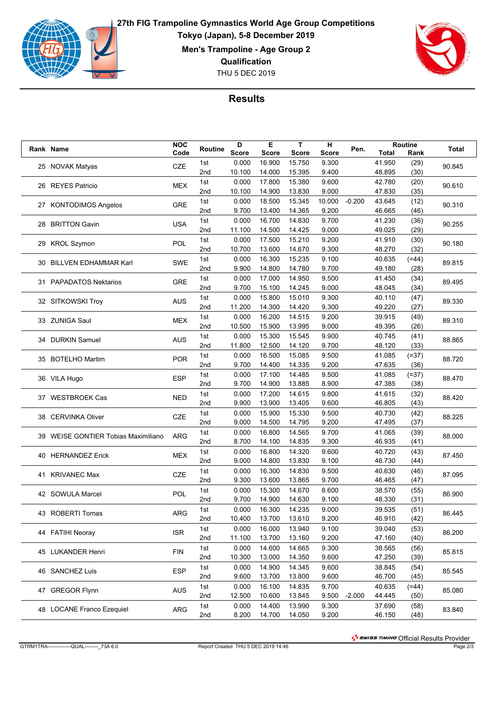

**27th FIG Trampoline Gymnastics World Age Group Competitions Tokyo (Japan), 5-8 December 2019**

**Men's Trampoline - Age Group 2**

**Qualification**

THU 5 DEC 2019



## **Results**

|    | Rank Name                           | <b>NOC</b> | Routine         | D            | Е            | T            | н      | Pen.     |              | Routine | Total  |
|----|-------------------------------------|------------|-----------------|--------------|--------------|--------------|--------|----------|--------------|---------|--------|
|    |                                     | Code       |                 | <b>Score</b> | <b>Score</b> | <b>Score</b> | Score  |          | <b>Total</b> | Rank    |        |
|    |                                     | <b>CZE</b> | 1st             | 0.000        | 16.900       | 15.750       | 9.300  |          | 41.950       | (29)    | 90.845 |
|    | 25 NOVAK Matyas                     |            | 2 <sub>nd</sub> | 10.100       | 14.000       | 15.395       | 9.400  |          | 48.895       | (30)    |        |
|    | 26 REYES Patricio                   |            | 1st             | 0.000        | 17.800       | 15.380       | 9.600  |          | 42.780       | (20)    |        |
|    |                                     | <b>MEX</b> | 2nd             | 10.100       | 14.900       | 13.830       | 9.000  |          | 47.830       | (35)    | 90.610 |
|    |                                     |            |                 | 0.000        | 18.500       | 15.345       |        | $-0.200$ | 43.645       |         |        |
|    | 27 KONTODIMOS Angelos               | <b>GRE</b> | 1st             |              |              |              | 10.000 |          |              | (12)    | 90.310 |
|    |                                     |            | 2nd             | 9.700        | 13.400       | 14.365       | 9.200  |          | 46.665       | (46)    |        |
|    | 28 BRITTON Gavin                    | <b>USA</b> | 1st             | 0.000        | 16.700       | 14.830       | 9.700  |          | 41.230       | (36)    | 90.255 |
|    |                                     |            | 2 <sub>nd</sub> | 11.100       | 14.500       | 14.425       | 9.000  |          | 49.025       | (29)    |        |
|    | 29 KROL Szymon                      | <b>POL</b> | 1st             | 0.000        | 17.500       | 15.210       | 9.200  |          | 41.910       | (30)    | 90.180 |
|    |                                     |            | 2nd             | 10.700       | 13.600       | 14.670       | 9.300  |          | 48.270       | (32)    |        |
|    | <b>BILLVEN EDHAMMAR Karl</b>        | <b>SWE</b> | 1st             | 0.000        | 16.300       | 15.235       | 9.100  |          | 40.635       | $(=44)$ | 89.815 |
| 30 |                                     |            | 2nd             | 9.900        | 14.800       | 14.780       | 9.700  |          | 49.180       | (28)    |        |
|    |                                     |            | 1st             | 0.000        | 17.000       | 14.950       | 9.500  |          | 41.450       | (34)    |        |
|    | 31 PAPADATOS Nektarios              | <b>GRE</b> | 2nd             | 9.700        | 15.100       | 14.245       | 9.000  |          | 48.045       | (34)    | 89.495 |
|    |                                     |            | 1st             | 0.000        | 15.800       | 15.010       | 9.300  |          | 40.110       |         |        |
|    | 32 SITKOWSKI Troy                   | <b>AUS</b> |                 |              |              |              |        |          | 49.220       | (47)    | 89.330 |
|    |                                     |            | 2nd             | 11.200       | 14.300       | 14.420       | 9.300  |          |              | (27)    |        |
|    | 33 ZUNIGA Saul                      | <b>MEX</b> | 1st             | 0.000        | 16.200       | 14.515       | 9.200  |          | 39.915       | (49)    | 89.310 |
|    |                                     |            | 2nd             | 10.500       | 15.900       | 13.995       | 9.000  |          | 49.395       | (26)    |        |
|    | 34 DURKIN Samuel                    | <b>AUS</b> | 1st             | 0.000        | 15.300       | 15.545       | 9.900  |          | 40.745       | (41)    | 88.865 |
|    |                                     |            | 2 <sub>nd</sub> | 11.800       | 12.500       | 14.120       | 9.700  |          | 48.120       | (33)    |        |
|    |                                     |            | 1st             | 0.000        | 16.500       | 15.085       | 9.500  |          | 41.085       | $(=37)$ | 88.720 |
|    | 35 BOTELHO Martim                   | <b>POR</b> | 2 <sub>nd</sub> | 9.700        | 14.400       | 14.335       | 9.200  |          | 47.635       | (36)    |        |
|    | 36 VILA Hugo                        |            | 1st             | 0.000        | 17.100       | 14.485       | 9.500  |          | 41.085       | $(=37)$ |        |
|    |                                     | <b>ESP</b> | 2nd             | 9.700        | 14.900       | 13.885       | 8.900  |          | 47.385       | (38)    | 88.470 |
|    |                                     |            |                 |              |              |              |        |          |              |         |        |
|    | 37 WESTBROEK Cas                    | <b>NED</b> | 1st             | 0.000        | 17.200       | 14.615       | 9.800  |          | 41.615       | (32)    | 88.420 |
|    |                                     |            | 2 <sub>nd</sub> | 9.900        | 13.900       | 13.405       | 9.600  |          | 46.805       | (43)    |        |
|    | 38 CERVINKA Oliver                  | <b>CZE</b> | 1st             | 0.000        | 15.900       | 15.330       | 9.500  |          | 40.730       | (42)    | 88.225 |
|    |                                     |            | 2nd             | 9.000        | 14.500       | 14.795       | 9.200  |          | 47.495       | (37)    |        |
|    | 39 WEISE GONTIER Tobias Maximiliano | ARG        | 1st             | 0.000        | 16.800       | 14.565       | 9.700  |          | 41.065       | (39)    | 88.000 |
|    |                                     |            | 2 <sub>nd</sub> | 8.700        | 14.100       | 14.835       | 9.300  |          | 46.935       | (41)    |        |
|    | 40 HERNANDEZ Erick                  | <b>MEX</b> | 1st             | 0.000        | 16.800       | 14.320       | 9.600  |          | 40.720       | (43)    | 87.450 |
|    |                                     |            | 2 <sub>nd</sub> | 9.000        | 14.800       | 13.830       | 9.100  |          | 46.730       | (44)    |        |
|    | 41 KRIVANEC Max                     |            | 1st             | 0.000        | 16.300       | 14.830       | 9.500  |          | 40.630       | (46)    | 87.095 |
|    |                                     | <b>CZE</b> | 2nd             | 9.300        | 13.600       | 13.865       | 9.700  |          | 46.465       | (47)    |        |
|    |                                     |            | 1st             | 0.000        | 15.300       | 14.670       | 8.600  |          | 38.570       | (55)    |        |
|    | 42 SOWULA Marcel                    | <b>POL</b> | 2 <sub>nd</sub> | 9.700        | 14.900       | 14.630       | 9.100  |          | 48.330       | (31)    | 86.900 |
|    |                                     |            |                 |              |              |              |        |          |              |         |        |
|    | 43 ROBERTI Tomas                    | <b>ARG</b> | 1st             | 0.000        | 16.300       | 14.235       | 9.000  |          | 39.535       | (51)    | 86.445 |
|    |                                     |            | 2nd             | 10.400       | 13.700       | 13.610       | 9.200  |          | 46.910       | (42)    |        |
|    | 44 FATIHI Neoray                    | ISR.       | 1st             | 0.000        | 16.000       | 13.940       | 9.100  |          | 39.040       | (53)    | 86.200 |
|    |                                     |            | 2nd             | 11.100       | 13.700       | 13.160       | 9.200  |          | 47.160       | (40)    |        |
|    | 45 LUKANDER Henri                   | <b>FIN</b> | 1st             | 0.000        | 14.600       | 14.665       | 9.300  |          | 38.565       | (56)    | 85.815 |
|    |                                     |            | 2nd             | 10.300       | 13.000       | 14.350       | 9.600  |          | 47.250       | (39)    |        |
|    | 46 SANCHEZ Luis                     | <b>ESP</b> | 1st             | 0.000        | 14.900       | 14.345       | 9.600  |          | 38.845       | (54)    |        |
|    |                                     |            | 2nd             | 9.600        | 13.700       | 13.800       | 9.600  |          | 46.700       | (45)    | 85.545 |
|    |                                     |            | 1st             | 0.000        | 16.100       | 14.835       | 9.700  |          | 40.635       | $(=44)$ |        |
|    | 47 GREGOR Flynn                     | <b>AUS</b> | 2nd             | 12.500       | 10.600       | 13.845       | 9.500  | $-2.000$ | 44.445       | (50)    | 85.080 |
|    |                                     |            |                 |              |              |              |        |          |              |         |        |
|    | 48 LOCANE Franco Ezequiel           | <b>ARG</b> | 1st             | 0.000        | 14.400       | 13.990       | 9.300  |          | 37.690       | (58)    | 83.840 |
|    |                                     |            | 2nd             | 8.200        | 14.700       | 14.050       | 9.200  |          | 46.150       | (48)    |        |

הואד בישר Official Results Provider